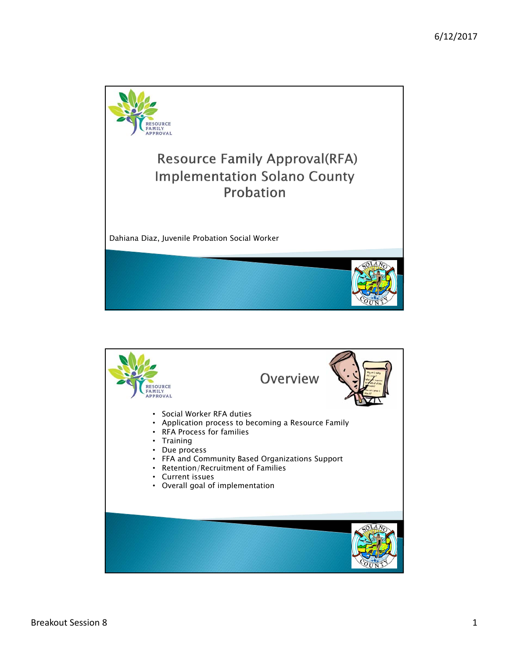

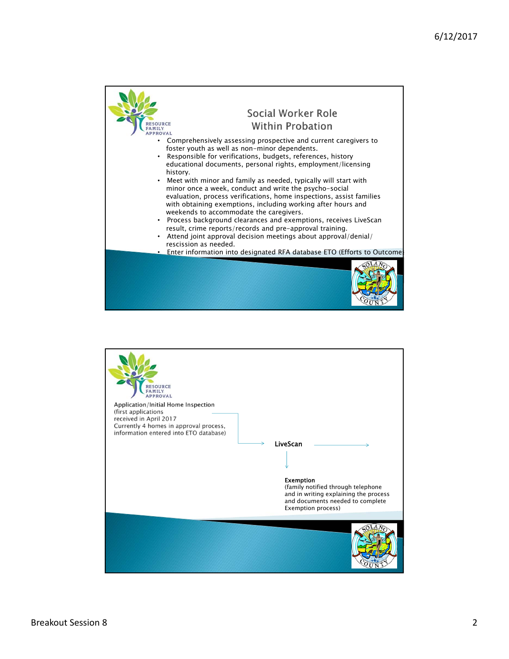

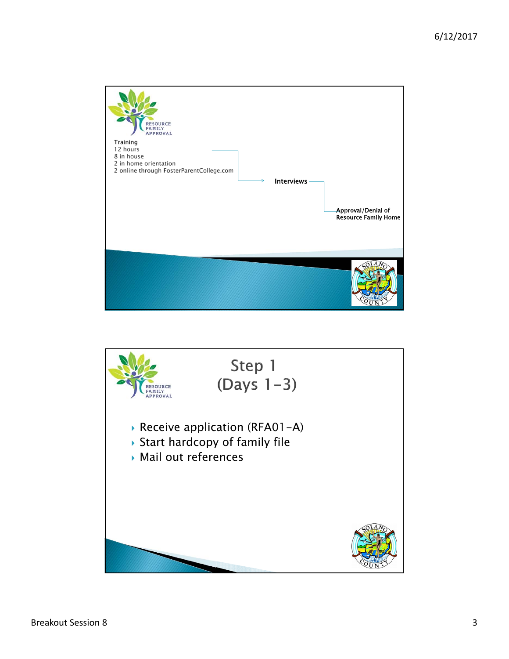

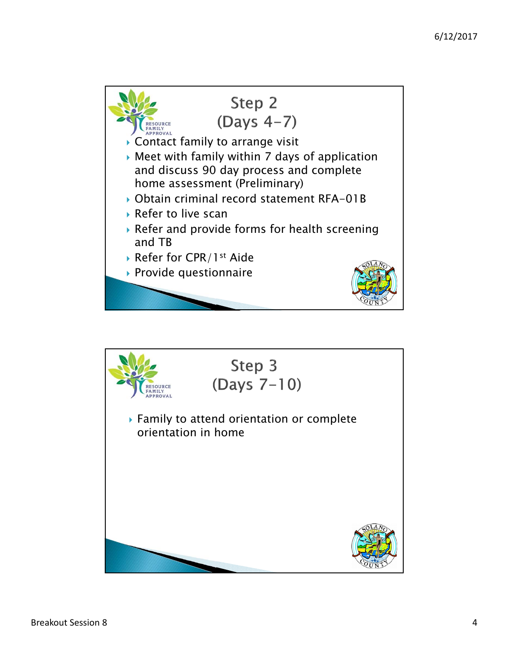

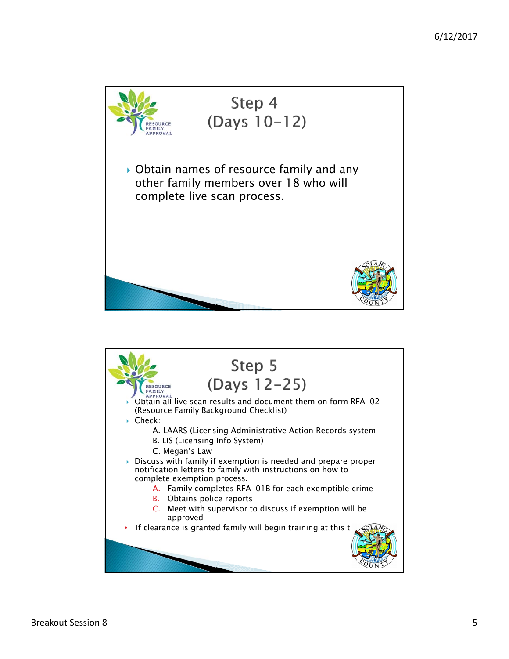

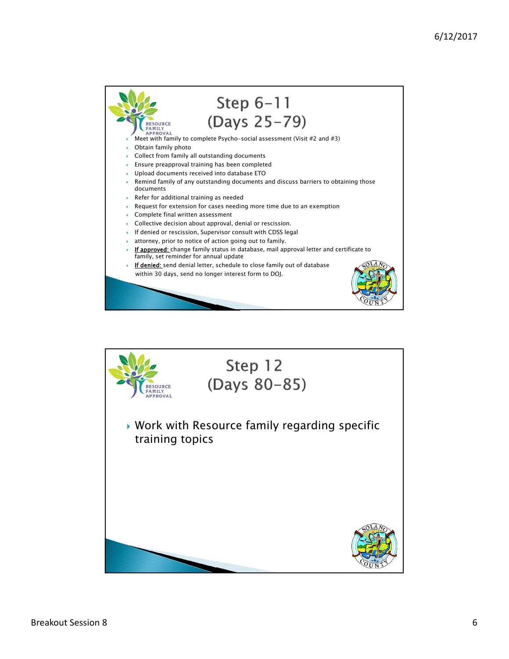

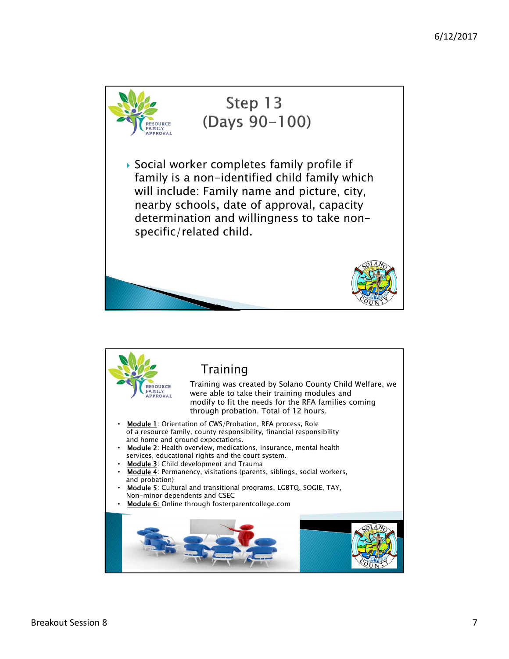

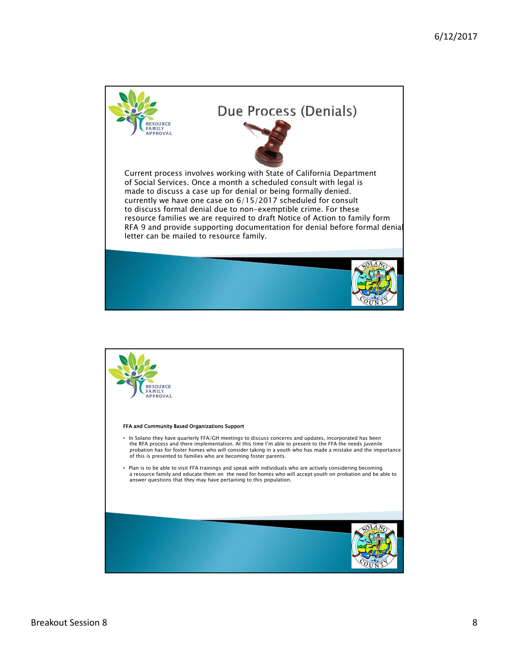

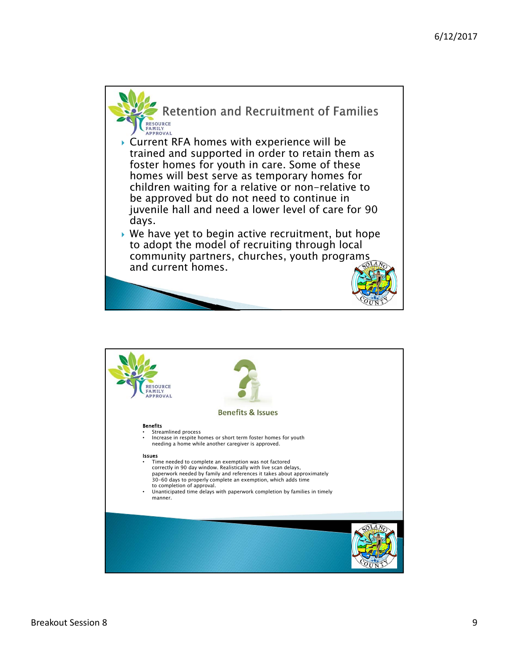